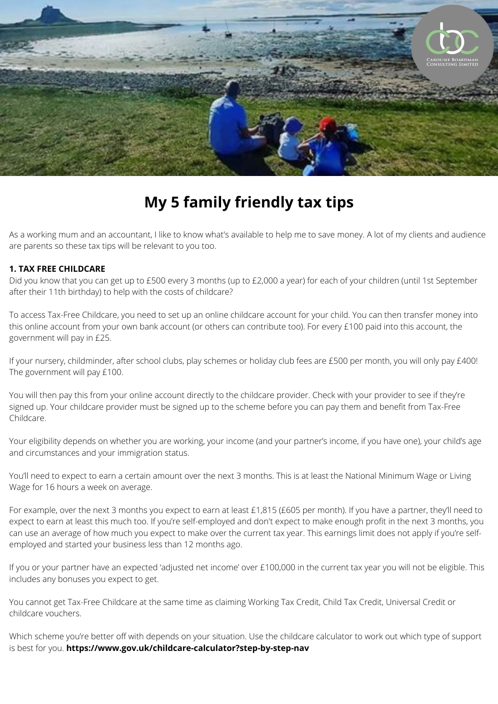

# **My 5 family friendly tax tips**

As a working mum and an accountant, I like to know what's available to help me to save money. A lot of my clients and audience are parents so these tax tips will be relevant to you too.

## **1. TAX FREE CHILDCARE**

Did you know that you can get up to £500 every 3 months (up to £2,000 a year) for each of your children (until 1st September after their 11th birthday) to help with the costs of childcare?

To access Tax-Free Childcare, you need to set up an online childcare account for your child. You can then transfer money into this online account from your own bank account (or others can contribute too). For every £100 paid into this account, the government will pay in £25.

If your nursery, childminder, after school clubs, play schemes or holiday club fees are £500 per month, you will only pay £400! The government will pay £100.

You will then pay this from your online account directly to the childcare provider. Check with your provider to see if they're signed up. Your childcare provider must be signed up to the scheme before you can pay them and benefit from Tax-Free Childcare.

Your eligibility depends on whether you are working, your income (and your partner's income, if you have one), your child's age and circumstances and your immigration status.

You'll need to expect to earn a certain amount over the next 3 months. This is at least the National Minimum Wage or Living Wage for 16 hours a week on average.

For example, over the next 3 months you expect to earn at least £1,815 (£605 per month). If you have a partner, they'll need to expect to earn at least this much too. If you're self-employed and don't expect to make enough profit in the next 3 months, you can use an average of how much you expect to make over the current tax year. This earnings limit does not apply if you're selfemployed and started your business less than 12 months ago.

If you or your partner have an expected 'adjusted net income' over £100,000 in the current tax year you will not be eligible. This includes any bonuses you expect to get.

You cannot get Tax-Free Childcare at the same time as claiming Working Tax Credit, Child Tax Credit, Universal Credit or childcare vouchers.

Which scheme you're better off with depends on your situation. Use the childcare calculator to work out which type of support is best for you. **[https://www.gov.uk/childcare-calculator?step-by-step-nav](http://www.gov.uk/childcare-calculator?step-by-step-nav)**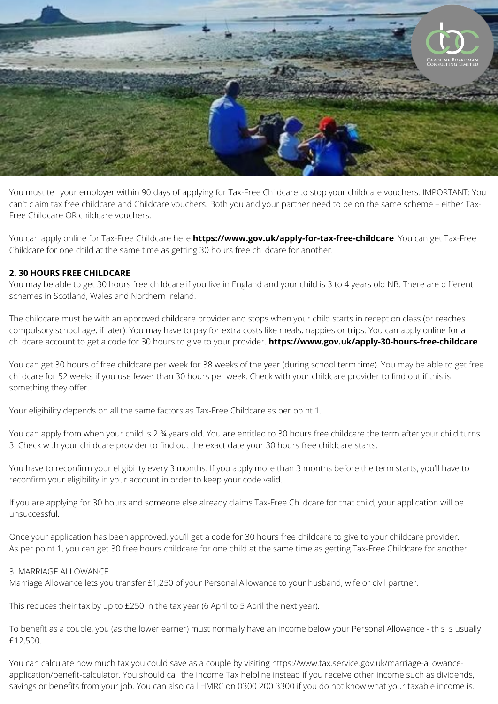

You must tell your employer within 90 days of applying for Tax-Free Childcare to stop your childcare vouchers. IMPORTANT: You can't claim tax free childcare and Childcare vouchers. Both you and your partner need to be on the same scheme – either Tax-Free Childcare OR childcare vouchers.

You can apply online for Tax-Free Childcare here **https://www.gov.uk/apply-for-tax-free-childcare**. You can get Tax-Free Childcare for one child at the same time as getting 30 hours free childcare for another.

### **2. 30 HOURS FREE CHILDCARE**

You may be able to get 30 hours free childcare if you live in England and your child is 3 to 4 years old NB. There are different schemes in Scotland, Wales and Northern Ireland.

The childcare must be with an approved childcare provider and stops when your child starts in reception class (or reaches compulsory school age, if later). You may have to pay for extra costs like meals, nappies or trips. You can apply online for a childcare account to get a code for 30 hours to give to your provider. **https://www.gov.uk/apply-30-hours-free-childcare**

You can get 30 hours of free childcare per week for 38 weeks of the year (during school term time). You may be able to get free childcare for 52 weeks if you use fewer than 30 hours per week. Check with your childcare provider to find out if this is something they offer.

Your eligibility depends on all the same factors as Tax-Free Childcare as per point 1.

You can apply from when your child is 2 ¾ years old. You are entitled to 30 hours free childcare the term after your child turns 3. Check with your childcare provider to find out the exact date your 30 hours free childcare starts.

You have to reconfirm your eligibility every 3 months. If you apply more than 3 months before the term starts, you'll have to reconfirm your eligibility in your account in order to keep your code valid.

If you are applying for 30 hours and someone else already claims Tax-Free Childcare for that child, your application will be unsuccessful.

Once your application has been approved, you'll get a code for 30 hours free childcare to give to your childcare provider. As per point 1, you can get 30 free hours childcare for one child at the same time as getting Tax-Free Childcare for another.

#### 3. MARRIAGE ALLOWANCE

Marriage Allowance lets you transfer £1,250 of your Personal Allowance to your husband, wife or civil partner.

This reduces their tax by up to £250 in the tax year (6 April to 5 April the next year).

To benefit as a couple, you (as the lower earner) must normally have an income below your Personal Allowance - this is usually £12,500.

You can calculate how much tax you could save as a couple by visiting [https://www.tax.service.gov.uk/marriage-allowance](http://www.tax.service.gov.uk/marriage-allowance-application/benefit-calculator)application/benefit-calculator. You should call the Income Tax helpline instead if you receive other income such as dividends, savings or benefits from your job. You can also call HMRC on 0300 200 3300 if you do not know what your taxable income is.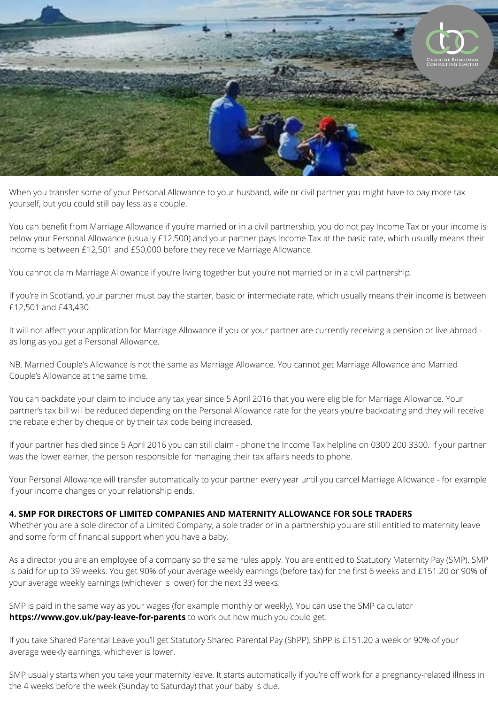

When you transfer some of your Personal Allowance to your husband, wife or civil partner you might have to pay more tax yourself, but you could still pay less as a couple.

You can benefit from Marriage Allowance if you're married or in a civil partnership, you do not pay Income Tax or your income is below your Personal Allowance (usually £12,500) and your partner pays Income Tax at the basic rate, which usually means their income is between £12,501 and £50,000 before they receive Marriage Allowance.

You cannot claim Marriage Allowance if you're living together but you're not married or in a civil partnership.

If you're in Scotland, your partner must pay the starter, basic or intermediate rate, which usually means their income is between £12,501 and £43,430.

It will not affect your application for Marriage Allowance if you or your partner are currently receiving a pension or live abroad as long as you get a Personal Allowance.

NB. Married Couple's Allowance is not the same as Marriage Allowance. You cannot get Marriage Allowance and Married Couple's Allowance at the same time.

You can backdate your claim to include any tax year since 5 April 2016 that you were eligible for Marriage Allowance. Your partner's tax bill will be reduced depending on the Personal Allowance rate for the years you're backdating and they will receive the rebate either by cheque or by their tax code being increased.

If your partner has died since 5 April 2016 you can still claim - phone the Income Tax helpline on 0300 200 3300. If your partner was the lower earner, the person responsible for managing their tax affairs needs to phone.

Your Personal Allowance will transfer automatically to your partner every year until you cancel Marriage Allowance - for example if your income changes or your relationship ends.

## **4. SMP FOR DIRECTORS OF LIMITED COMPANIES AND MATERNITY ALLOWANCE FOR SOLE TRADERS**

Whether you are a sole director of a Limited Company, a sole trader or in a partnership you are still entitled to maternity leave and some form of financial support when you have a baby.

As a director you are an employee of a company so the same rules apply. You are entitled to Statutory Maternity Pay (SMP). SMP is paid for up to 39 weeks. You get 90% of your average weekly earnings (before tax) for the first 6 weeks and £151.20 or 90% of your average weekly earnings (whichever is lower) for the next 33 weeks.

SMP is paid in the same way as your wages (for example monthly or weekly). You can use the SMP calculator **<https://www.gov.uk/pay-leave-for-parents>** to work out how much you could get.

If you take Shared Parental Leave you'll get Statutory Shared Parental Pay (ShPP). ShPP is £151.20 a week or 90% of your average weekly earnings, whichever is lower.

SMP usually starts when you take your maternity leave. It starts automatically if you're off work for a pregnancy-related illness in the 4 weeks before the week (Sunday to Saturday) that your baby is due.